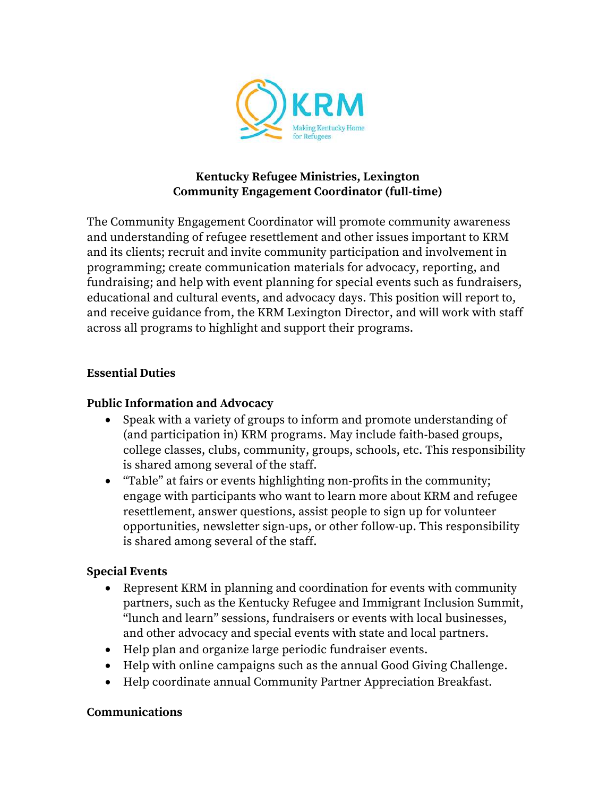

## **Kentucky Refugee Ministries, Lexington Community Engagement Coordinator (full-time)**

The Community Engagement Coordinator will promote community awareness and understanding of refugee resettlement and other issues important to KRM and its clients; recruit and invite community participation and involvement in programming; create communication materials for advocacy, reporting, and fundraising; and help with event planning for special events such as fundraisers, educational and cultural events, and advocacy days. This position will report to, and receive guidance from, the KRM Lexington Director, and will work with staff across all programs to highlight and support their programs.

## **Essential Duties**

## **Public Information and Advocacy**

- Speak with a variety of groups to inform and promote understanding of (and participation in) KRM programs. May include faith-based groups, college classes, clubs, community, groups, schools, etc. This responsibility is shared among several of the staff.
- "Table" at fairs or events highlighting non-profits in the community; engage with participants who want to learn more about KRM and refugee resettlement, answer questions, assist people to sign up for volunteer opportunities, newsletter sign-ups, or other follow-up. This responsibility is shared among several of the staff.

### **Special Events**

- Represent KRM in planning and coordination for events with community partners, such as the Kentucky Refugee and Immigrant Inclusion Summit, "lunch and learn" sessions, fundraisers or events with local businesses, and other advocacy and special events with state and local partners.
- Help plan and organize large periodic fundraiser events.
- Help with online campaigns such as the annual Good Giving Challenge.
- Help coordinate annual Community Partner Appreciation Breakfast.

#### **Communications**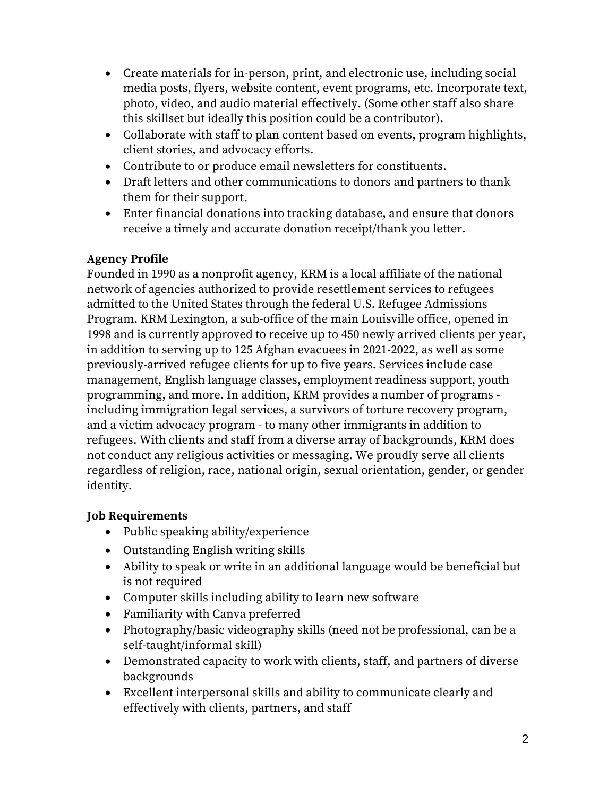- Create materials for in-person, print, and electronic use, including social media posts, flyers, website content, event programs, etc. Incorporate text, photo, video, and audio material effectively. (Some other staff also share this skillset but ideally this position could be a contributor).
- Collaborate with staff to plan content based on events, program highlights, client stories, and advocacy efforts.
- Contribute to or produce email newsletters for constituents.
- Draft letters and other communications to donors and partners to thank them for their support.
- Enter financial donations into tracking database, and ensure that donors receive a timely and accurate donation receipt/thank you letter.

# **Agency Profile**

Founded in 1990 as a nonprofit agency, KRM is a local affiliate of the national network of agencies authorized to provide resettlement services to refugees admitted to the United States through the federal U.S. Refugee Admissions Program. KRM Lexington, a sub-office of the main Louisville office, opened in 1998 and is currently approved to receive up to 450 newly arrived clients per year, in addition to serving up to 125 Afghan evacuees in 2021-2022, as well as some previously-arrived refugee clients for up to five years. Services include case management, English language classes, employment readiness support, youth programming, and more. In addition, KRM provides a number of programs including immigration legal services, a survivors of torture recovery program, and a victim advocacy program - to many other immigrants in addition to refugees. With clients and staff from a diverse array of backgrounds, KRM does not conduct any religious activities or messaging. We proudly serve all clients regardless of religion, race, national origin, sexual orientation, gender, or gender identity.

# **Job Requirements**

- Public speaking ability/experience
- Outstanding English writing skills
- Ability to speak or write in an additional language would be beneficial but is not required
- Computer skills including ability to learn new software
- Familiarity with Canva preferred
- Photography/basic videography skills (need not be professional, can be a self-taught/informal skill)
- Demonstrated capacity to work with clients, staff, and partners of diverse backgrounds
- Excellent interpersonal skills and ability to communicate clearly and effectively with clients, partners, and staff